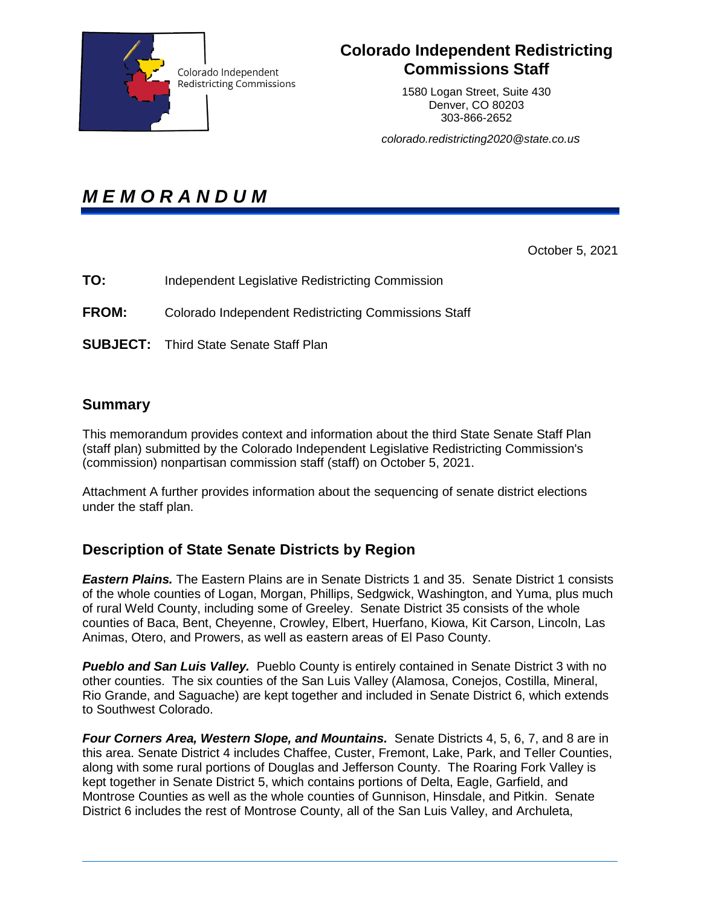

## **Colorado Independent Redistricting Commissions Staff**

1580 Logan Street, Suite 430 Denver, CO 80203 303-866-2652

*colorado.redistricting2020@state.co.us* 

# *M E M O R A N D U M*

October 5, 2021

**TO:** Independent Legislative Redistricting Commission

**FROM:** Colorado Independent Redistricting Commissions Staff

**SUBJECT:** Third State Senate Staff Plan

#### **Summary**

This memorandum provides context and information about the third State Senate Staff Plan (staff plan) submitted by the Colorado Independent Legislative Redistricting Commission's (commission) nonpartisan commission staff (staff) on October 5, 2021.

Attachment A further provides information about the sequencing of senate district elections under the staff plan.

#### **Description of State Senate Districts by Region**

*Eastern Plains.* The Eastern Plains are in Senate Districts 1 and 35. Senate District 1 consists of the whole counties of Logan, Morgan, Phillips, Sedgwick, Washington, and Yuma, plus much of rural Weld County, including some of Greeley. Senate District 35 consists of the whole counties of Baca, Bent, Cheyenne, Crowley, Elbert, Huerfano, Kiowa, Kit Carson, Lincoln, Las Animas, Otero, and Prowers, as well as eastern areas of El Paso County.

**Pueblo and San Luis Valley.** Pueblo County is entirely contained in Senate District 3 with no other counties. The six counties of the San Luis Valley (Alamosa, Conejos, Costilla, Mineral, Rio Grande, and Saguache) are kept together and included in Senate District 6, which extends to Southwest Colorado.

**Four Corners Area, Western Slope, and Mountains.** Senate Districts 4, 5, 6, 7, and 8 are in this area. Senate District 4 includes Chaffee, Custer, Fremont, Lake, Park, and Teller Counties, along with some rural portions of Douglas and Jefferson County. The Roaring Fork Valley is kept together in Senate District 5, which contains portions of Delta, Eagle, Garfield, and Montrose Counties as well as the whole counties of Gunnison, Hinsdale, and Pitkin. Senate District 6 includes the rest of Montrose County, all of the San Luis Valley, and Archuleta,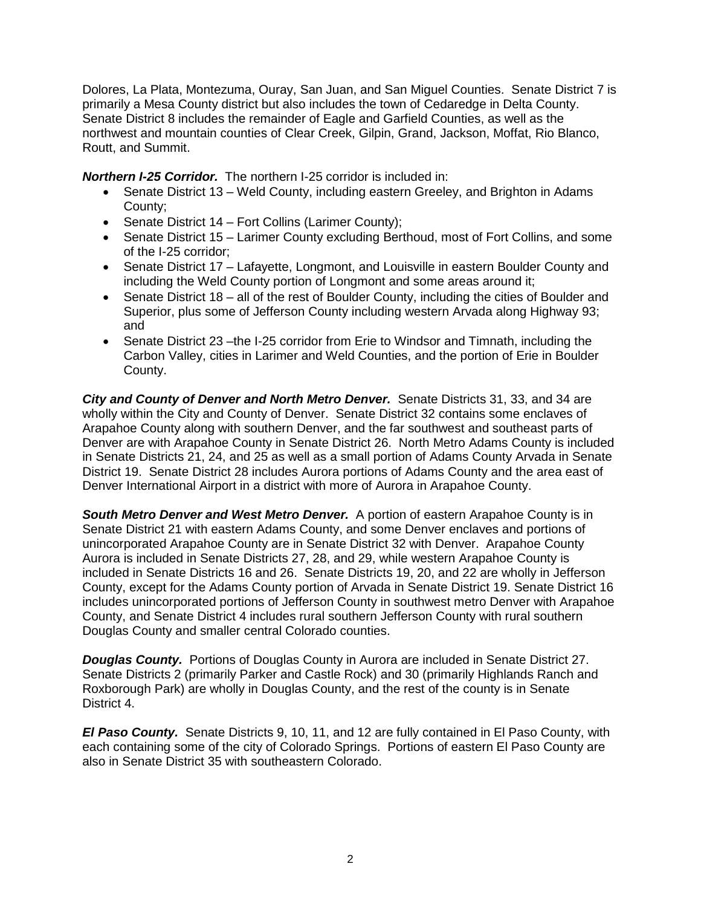Dolores, La Plata, Montezuma, Ouray, San Juan, and San Miguel Counties. Senate District 7 is primarily a Mesa County district but also includes the town of Cedaredge in Delta County. Senate District 8 includes the remainder of Eagle and Garfield Counties, as well as the northwest and mountain counties of Clear Creek, Gilpin, Grand, Jackson, Moffat, Rio Blanco, Routt, and Summit.

*Northern I-25 Corridor.* The northern I-25 corridor is included in:

- Senate District 13 Weld County, including eastern Greeley, and Brighton in Adams County;
- Senate District 14 Fort Collins (Larimer County);
- Senate District 15 Larimer County excluding Berthoud, most of Fort Collins, and some of the I-25 corridor;
- Senate District 17 Lafayette, Longmont, and Louisville in eastern Boulder County and including the Weld County portion of Longmont and some areas around it;
- Senate District 18 all of the rest of Boulder County, including the cities of Boulder and Superior, plus some of Jefferson County including western Arvada along Highway 93; and
- Senate District 23 –the I-25 corridor from Erie to Windsor and Timnath, including the Carbon Valley, cities in Larimer and Weld Counties, and the portion of Erie in Boulder County.

*City and County of Denver and North Metro Denver.* Senate Districts 31, 33, and 34 are wholly within the City and County of Denver. Senate District 32 contains some enclaves of Arapahoe County along with southern Denver, and the far southwest and southeast parts of Denver are with Arapahoe County in Senate District 26. North Metro Adams County is included in Senate Districts 21, 24, and 25 as well as a small portion of Adams County Arvada in Senate District 19. Senate District 28 includes Aurora portions of Adams County and the area east of Denver International Airport in a district with more of Aurora in Arapahoe County.

**South Metro Denver and West Metro Denver.** A portion of eastern Arapahoe County is in Senate District 21 with eastern Adams County, and some Denver enclaves and portions of unincorporated Arapahoe County are in Senate District 32 with Denver. Arapahoe County Aurora is included in Senate Districts 27, 28, and 29, while western Arapahoe County is included in Senate Districts 16 and 26. Senate Districts 19, 20, and 22 are wholly in Jefferson County, except for the Adams County portion of Arvada in Senate District 19. Senate District 16 includes unincorporated portions of Jefferson County in southwest metro Denver with Arapahoe County, and Senate District 4 includes rural southern Jefferson County with rural southern Douglas County and smaller central Colorado counties.

*Douglas County.* Portions of Douglas County in Aurora are included in Senate District 27. Senate Districts 2 (primarily Parker and Castle Rock) and 30 (primarily Highlands Ranch and Roxborough Park) are wholly in Douglas County, and the rest of the county is in Senate District 4.

*El Paso County.* Senate Districts 9, 10, 11, and 12 are fully contained in El Paso County, with each containing some of the city of Colorado Springs. Portions of eastern El Paso County are also in Senate District 35 with southeastern Colorado.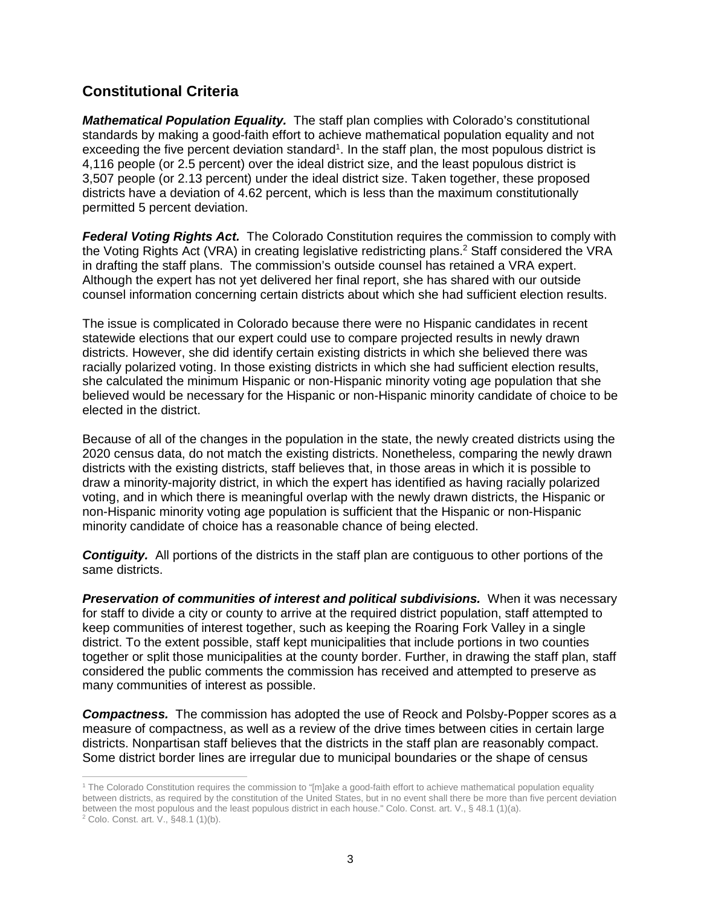### **Constitutional Criteria**

*Mathematical Population Equality.* The staff plan complies with Colorado's constitutional standards by making a good-faith effort to achieve mathematical population equality and not exceeding the five percent deviation standard<sup>1</sup>. In the staff plan, the most populous district is 4,116 people (or 2.5 percent) over the ideal district size, and the least populous district is 3,507 people (or 2.13 percent) under the ideal district size. Taken together, these proposed districts have a deviation of 4.62 percent, which is less than the maximum constitutionally permitted 5 percent deviation.

*Federal Voting Rights Act.* The Colorado Constitution requires the commission to comply with the Voting Rights Act (VRA) in creating legislative redistricting plans.<sup>2</sup> Staff considered the VRA in drafting the staff plans. The commission's outside counsel has retained a VRA expert. Although the expert has not yet delivered her final report, she has shared with our outside counsel information concerning certain districts about which she had sufficient election results.

The issue is complicated in Colorado because there were no Hispanic candidates in recent statewide elections that our expert could use to compare projected results in newly drawn districts. However, she did identify certain existing districts in which she believed there was racially polarized voting. In those existing districts in which she had sufficient election results, she calculated the minimum Hispanic or non-Hispanic minority voting age population that she believed would be necessary for the Hispanic or non-Hispanic minority candidate of choice to be elected in the district.

Because of all of the changes in the population in the state, the newly created districts using the 2020 census data, do not match the existing districts. Nonetheless, comparing the newly drawn districts with the existing districts, staff believes that, in those areas in which it is possible to draw a minority-majority district, in which the expert has identified as having racially polarized voting, and in which there is meaningful overlap with the newly drawn districts, the Hispanic or non-Hispanic minority voting age population is sufficient that the Hispanic or non-Hispanic minority candidate of choice has a reasonable chance of being elected.

*Contiguity.* All portions of the districts in the staff plan are contiguous to other portions of the same districts.

**Preservation of communities of interest and political subdivisions.** When it was necessary for staff to divide a city or county to arrive at the required district population, staff attempted to keep communities of interest together, such as keeping the Roaring Fork Valley in a single district. To the extent possible, staff kept municipalities that include portions in two counties together or split those municipalities at the county border. Further, in drawing the staff plan, staff considered the public comments the commission has received and attempted to preserve as many communities of interest as possible.

**Compactness.** The commission has adopted the use of Reock and Polsby-Popper scores as a measure of compactness, as well as a review of the drive times between cities in certain large districts. Nonpartisan staff believes that the districts in the staff plan are reasonably compact. Some district border lines are irregular due to municipal boundaries or the shape of census

 1 The Colorado Constitution requires the commission to "[m]ake a good-faith effort to achieve mathematical population equality between districts, as required by the constitution of the United States, but in no event shall there be more than five percent deviation between the most populous and the least populous district in each house." Colo. Const. art. V., § 48.1 (1)(a).

<sup>&</sup>lt;sup>2</sup> Colo. Const. art. V., §48.1 (1)(b).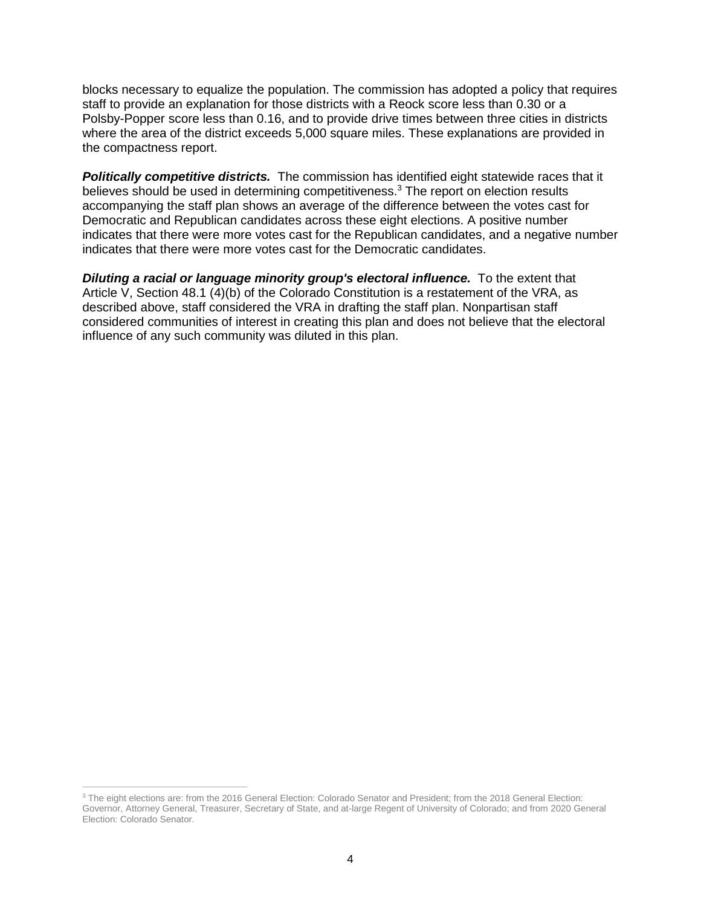blocks necessary to equalize the population. The commission has adopted a policy that requires staff to provide an explanation for those districts with a Reock score less than 0.30 or a Polsby-Popper score less than 0.16, and to provide drive times between three cities in districts where the area of the district exceeds 5,000 square miles. These explanations are provided in the compactness report.

**Politically competitive districts.** The commission has identified eight statewide races that it believes should be used in determining competitiveness.<sup>3</sup> The report on election results accompanying the staff plan shows an average of the difference between the votes cast for Democratic and Republican candidates across these eight elections. A positive number indicates that there were more votes cast for the Republican candidates, and a negative number indicates that there were more votes cast for the Democratic candidates.

**Diluting a racial or language minority group's electoral influence.** To the extent that Article V, Section 48.1 (4)(b) of the Colorado Constitution is a restatement of the VRA, as described above, staff considered the VRA in drafting the staff plan. Nonpartisan staff considered communities of interest in creating this plan and does not believe that the electoral influence of any such community was diluted in this plan.

 $\overline{a}$ 

<sup>&</sup>lt;sup>3</sup> The eight elections are: from the 2016 General Election: Colorado Senator and President; from the 2018 General Election: Governor, Attorney General, Treasurer, Secretary of State, and at-large Regent of University of Colorado; and from 2020 General Election: Colorado Senator.